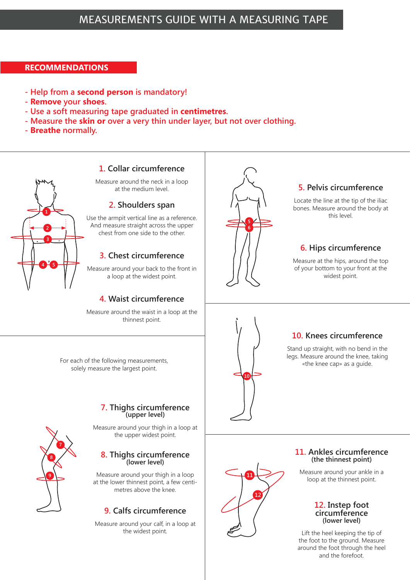### **RECOMMENDATIONS**

- **Help from a second person is mandatory!**
- **Remove your shoes.**
- **Use a soft measuring tape graduated in centimetres.**
- **Measure the skin or over a very thin under layer, but not over clothing.**
- **Breathe normally.**





# **7. Thighs circumference (upper level)**

Measure around your thigh in a loop at the upper widest point.

# **8. Thighs circumference (lower level)**

Measure around your thigh in a loop at the lower thinnest point, a few centimetres above the knee.

# **9. Calfs circumference**

Measure around your calf, in a loop at the widest point.



#### **11. Ankles circumference (the thinnest point)**

Measure around your ankle in a loop at the thinnest point.

#### **12. Instep foot circumference (lower level)**

Lift the heel keeping the tip of the foot to the ground. Measure around the foot through the heel and the forefoot.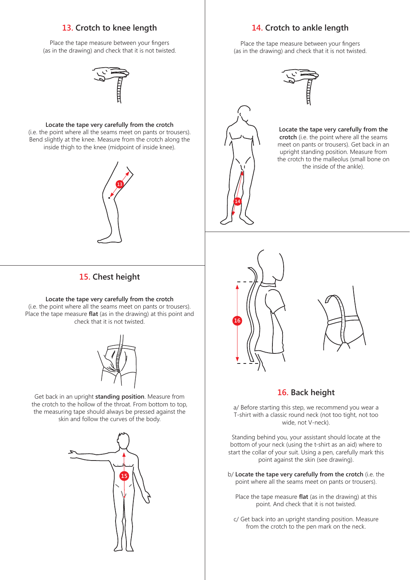#### **13. Crotch to knee length**

Place the tape measure between your fingers (as in the drawing) and check that it is not twisted.

#### **Locate the tape very carefully from the crotch**

(i.e. the point where all the seams meet on pants or trousers). Bend slightly at the knee. Measure from the crotch along the inside thigh to the knee (midpoint of inside knee).



# **15. Chest height**

#### **Locate the tape very carefully from the crotch**

(i.e. the point where all the seams meet on pants or trousers). Place the tape measure **flat** (as in the drawing) at this point and check that it is not twisted.



Get back in an upright **standing position**. Measure from the crotch to the hollow of the throat. From bottom to top, the measuring tape should always be pressed against the skin and follow the curves of the body.



#### **14. Crotch to ankle length**

Place the tape measure between your fingers (as in the drawing) and check that it is not twisted.



#### **Locate the tape very carefully from the crotch** (i.e. the point where all the seams meet on pants or trousers). Get back in an upright standing position. Measure from the crotch to the malleolus (small bone on the inside of the ankle).



**14**



# **16. Back height**

a/ Before starting this step, we recommend you wear a T-shirt with a classic round neck (not too tight, not too wide, not V-neck).

Standing behind you, your assistant should locate at the bottom of your neck (using the t-shirt as an aid) where to start the collar of your suit. Using a pen, carefully mark this point against the skin (see drawing).

- b/ **Locate the tape very carefully from the crotch** (i.e. the point where all the seams meet on pants or trousers).
	- Place the tape measure **flat** (as in the drawing) at this point. And check that it is not twisted.
	- c/ Get back into an upright standing position. Measure from the crotch to the pen mark on the neck.